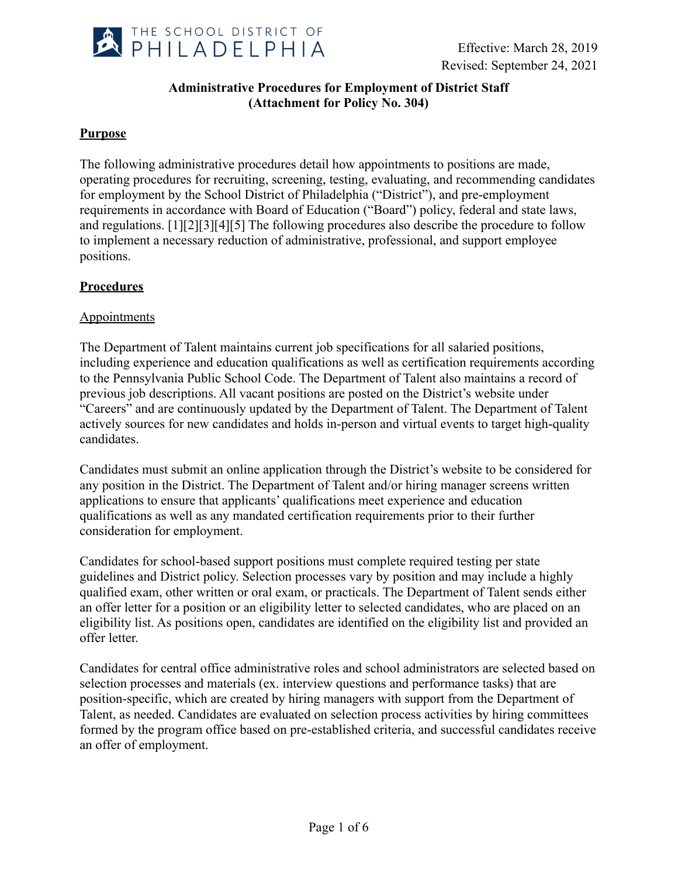

# **Administrative Procedures for Employment of District Staff (Attachment for Policy No. 304)**

## **Purpose**

The following administrative procedures detail how appointments to positions are made, operating procedures for recruiting, screening, testing, evaluating, and recommending candidates for employment by the School District of Philadelphia ("District"), and pre-employment requirements in accordance with Board of Education ("Board") policy, federal and state laws, and regulations. [1][2][3][4][5] The following procedures also describe the procedure to follow to implement a necessary reduction of administrative, professional, and support employee positions.

### **Procedures**

### Appointments

The Department of Talent maintains current job specifications for all salaried positions, including experience and education qualifications as well as certification requirements according to the Pennsylvania Public School Code. The Department of Talent also maintains a record of previous job descriptions. All vacant positions are posted on the District's website under "Careers" and are continuously updated by the Department of Talent. The Department of Talent actively sources for new candidates and holds in-person and virtual events to target high-quality candidates.

Candidates must submit an online application through the District's website to be considered for any position in the District. The Department of Talent and/or hiring manager screens written applications to ensure that applicants' qualifications meet experience and education qualifications as well as any mandated certification requirements prior to their further consideration for employment.

Candidates for school-based support positions must complete required testing per state guidelines and District policy. Selection processes vary by position and may include a highly qualified exam, other written or oral exam, or practicals. The Department of Talent sends either an offer letter for a position or an eligibility letter to selected candidates, who are placed on an eligibility list. As positions open, candidates are identified on the eligibility list and provided an offer letter.

Candidates for central office administrative roles and school administrators are selected based on selection processes and materials (ex. interview questions and performance tasks) that are position-specific, which are created by hiring managers with support from the Department of Talent, as needed. Candidates are evaluated on selection process activities by hiring committees formed by the program office based on pre-established criteria, and successful candidates receive an offer of employment.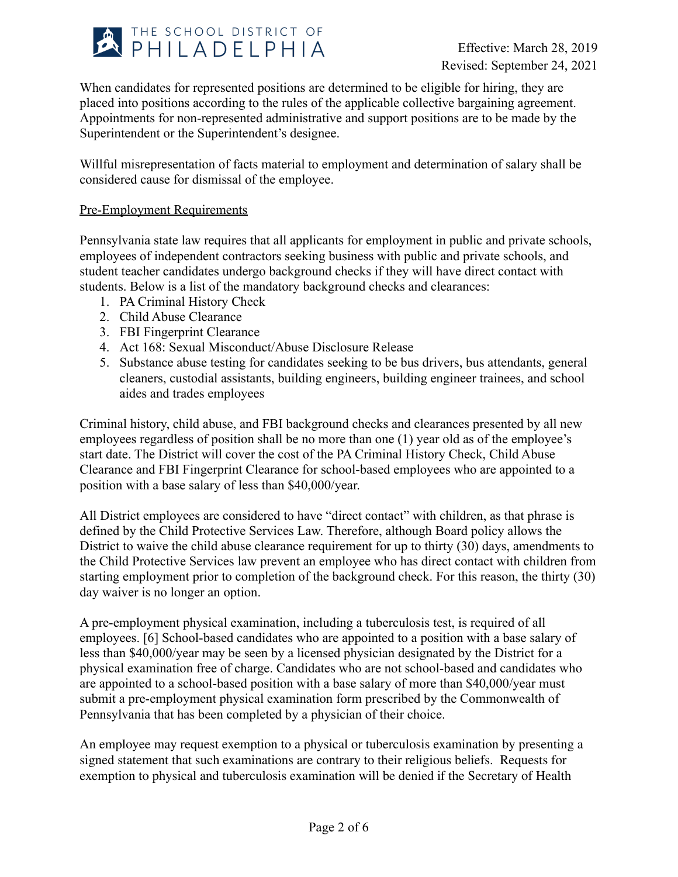

When candidates for represented positions are determined to be eligible for hiring, they are placed into positions according to the rules of the applicable collective bargaining agreement. Appointments for non-represented administrative and support positions are to be made by the Superintendent or the Superintendent's designee.

Willful misrepresentation of facts material to employment and determination of salary shall be considered cause for dismissal of the employee.

### Pre-Employment Requirements

Pennsylvania state law requires that all applicants for employment in public and private schools, employees of independent contractors seeking business with public and private schools, and student teacher candidates undergo background checks if they will have direct contact with students. Below is a list of the mandatory background checks and clearances:

- 1. PA Criminal History Check
- 2. Child Abuse Clearance
- 3. FBI Fingerprint Clearance
- 4. Act 168: Sexual Misconduct/Abuse Disclosure Release
- 5. Substance abuse testing for candidates seeking to be bus drivers, bus attendants, general cleaners, custodial assistants, building engineers, building engineer trainees, and school aides and trades employees

Criminal history, child abuse, and FBI background checks and clearances presented by all new employees regardless of position shall be no more than one (1) year old as of the employee's start date. The District will cover the cost of the PA Criminal History Check, Child Abuse Clearance and FBI Fingerprint Clearance for school-based employees who are appointed to a position with a base salary of less than \$40,000/year.

All District employees are considered to have "direct contact" with children, as that phrase is defined by the Child Protective Services Law. Therefore, although Board policy allows the District to waive the child abuse clearance requirement for up to thirty (30) days, amendments to the Child Protective Services law prevent an employee who has direct contact with children from starting employment prior to completion of the background check. For this reason, the thirty (30) day waiver is no longer an option.

A pre-employment physical examination, including a tuberculosis test, is required of all employees. [6] School-based candidates who are appointed to a position with a base salary of less than \$40,000/year may be seen by a licensed physician designated by the District for a physical examination free of charge. Candidates who are not school-based and candidates who are appointed to a school-based position with a base salary of more than \$40,000/year must submit a pre-employment physical examination form prescribed by the Commonwealth of Pennsylvania that has been completed by a physician of their choice.

An employee may request exemption to a physical or tuberculosis examination by presenting a signed statement that such examinations are contrary to their religious beliefs. Requests for exemption to physical and tuberculosis examination will be denied if the Secretary of Health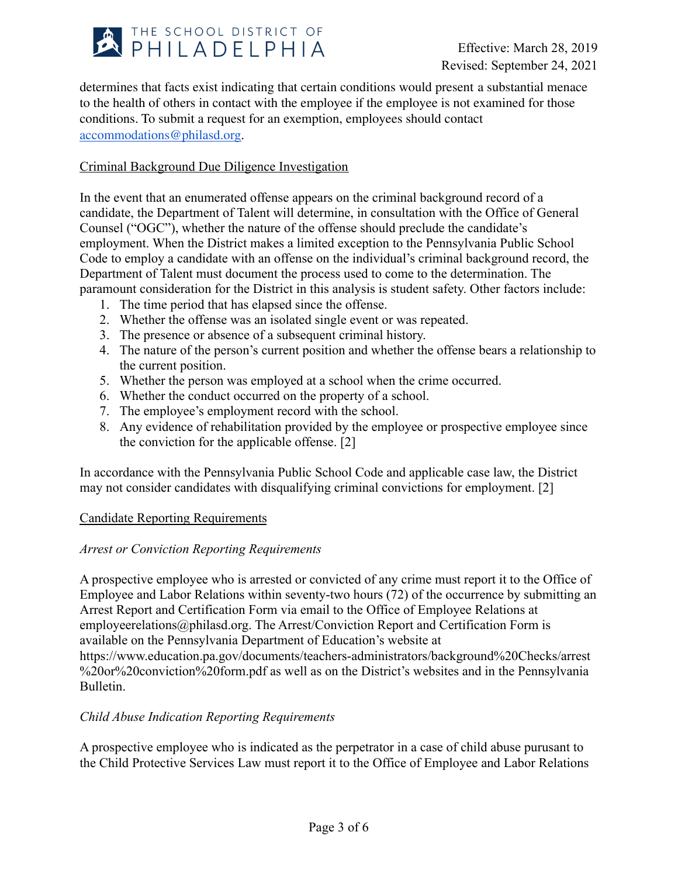

determines that facts exist indicating that certain conditions would present a substantial menace to the health of others in contact with the employee if the employee is not examined for those conditions. To submit a request for an exemption, employees should contact [accommodations@philasd.org.](mailto:accommodations@philasd.org)

### Criminal Background Due Diligence Investigation

In the event that an enumerated offense appears on the criminal background record of a candidate, the Department of Talent will determine, in consultation with the Office of General Counsel ("OGC"), whether the nature of the offense should preclude the candidate's employment. When the District makes a limited exception to the Pennsylvania Public School Code to employ a candidate with an offense on the individual's criminal background record, the Department of Talent must document the process used to come to the determination. The paramount consideration for the District in this analysis is student safety. Other factors include:

- 1. The time period that has elapsed since the offense.
- 2. Whether the offense was an isolated single event or was repeated.
- 3. The presence or absence of a subsequent criminal history.
- 4. The nature of the person's current position and whether the offense bears a relationship to the current position.
- 5. Whether the person was employed at a school when the crime occurred.
- 6. Whether the conduct occurred on the property of a school.
- 7. The employee's employment record with the school.
- 8. Any evidence of rehabilitation provided by the employee or prospective employee since the conviction for the applicable offense. [2]

In accordance with the Pennsylvania Public School Code and applicable case law, the District may not consider candidates with disqualifying criminal convictions for employment. [2]

### Candidate Reporting Requirements

### *Arrest or Conviction Reporting Requirements*

A prospective employee who is arrested or convicted of any crime must report it to the Office of Employee and Labor Relations within seventy-two hours (72) of the occurrence by submitting an Arrest Report and Certification Form via email to the Office of Employee Relations at employeerelations@philasd.org. The Arrest/Conviction Report and Certification Form is available on the Pennsylvania Department of Education's website at https://www.education.pa.gov/documents/teachers-administrators/background%20Checks/arrest %20or%20conviction%20form.pdf as well as on the District's websites and in the Pennsylvania Bulletin.

### *Child Abuse Indication Reporting Requirements*

A prospective employee who is indicated as the perpetrator in a case of child abuse purusant to the Child Protective Services Law must report it to the Office of Employee and Labor Relations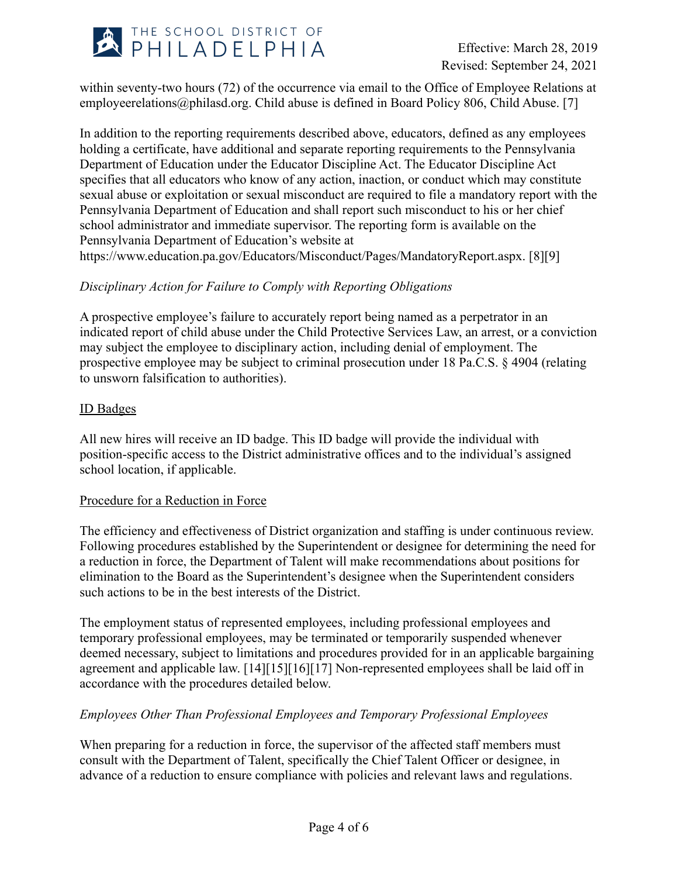

within seventy-two hours (72) of the occurrence via email to the Office of Employee Relations at employeerelations@philasd.org. Child abuse is defined in Board Policy 806, Child Abuse. [7]

In addition to the reporting requirements described above, educators, defined as any employees holding a certificate, have additional and separate reporting requirements to the Pennsylvania Department of Education under the Educator Discipline Act. The Educator Discipline Act specifies that all educators who know of any action, inaction, or conduct which may constitute sexual abuse or exploitation or sexual misconduct are required to file a mandatory report with the Pennsylvania Department of Education and shall report such misconduct to his or her chief school administrator and immediate supervisor. The reporting form is available on the Pennsylvania Department of Education's website at https://www.education.pa.gov/Educators/Misconduct/Pages/MandatoryReport.aspx. [8][9]

### *Disciplinary Action for Failure to Comply with Reporting Obligations*

A prospective employee's failure to accurately report being named as a perpetrator in an indicated report of child abuse under the Child Protective Services Law, an arrest, or a conviction may subject the employee to disciplinary action, including denial of employment. The prospective employee may be subject to criminal prosecution under 18 Pa.C.S. § 4904 (relating to unsworn falsification to authorities).

### ID Badges

All new hires will receive an ID badge. This ID badge will provide the individual with position-specific access to the District administrative offices and to the individual's assigned school location, if applicable.

### Procedure for a Reduction in Force

The efficiency and effectiveness of District organization and staffing is under continuous review. Following procedures established by the Superintendent or designee for determining the need for a reduction in force, the Department of Talent will make recommendations about positions for elimination to the Board as the Superintendent's designee when the Superintendent considers such actions to be in the best interests of the District.

The employment status of represented employees, including professional employees and temporary professional employees, may be terminated or temporarily suspended whenever deemed necessary, subject to limitations and procedures provided for in an applicable bargaining agreement and applicable law. [14][15][16][17] Non-represented employees shall be laid off in accordance with the procedures detailed below.

### *Employees Other Than Professional Employees and Temporary Professional Employees*

When preparing for a reduction in force, the supervisor of the affected staff members must consult with the Department of Talent, specifically the Chief Talent Officer or designee, in advance of a reduction to ensure compliance with policies and relevant laws and regulations.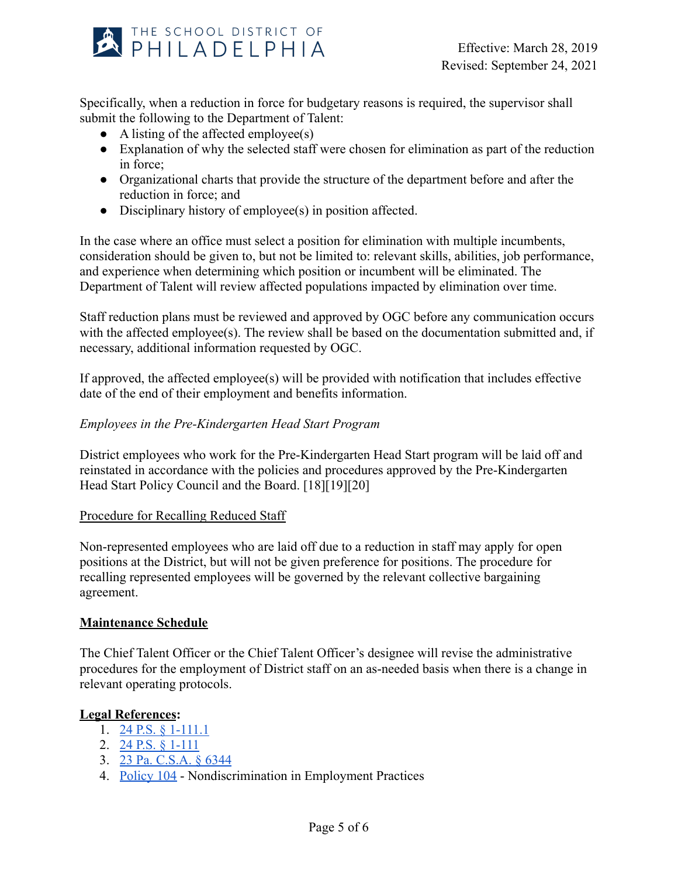

Specifically, when a reduction in force for budgetary reasons is required, the supervisor shall submit the following to the Department of Talent:

- $\bullet$  A listing of the affected employee(s)
- Explanation of why the selected staff were chosen for elimination as part of the reduction in force;
- Organizational charts that provide the structure of the department before and after the reduction in force; and
- Disciplinary history of employee(s) in position affected.

In the case where an office must select a position for elimination with multiple incumbents, consideration should be given to, but not be limited to: relevant skills, abilities, job performance, and experience when determining which position or incumbent will be eliminated. The Department of Talent will review affected populations impacted by elimination over time.

Staff reduction plans must be reviewed and approved by OGC before any communication occurs with the affected employee(s). The review shall be based on the documentation submitted and, if necessary, additional information requested by OGC.

If approved, the affected employee(s) will be provided with notification that includes effective date of the end of their employment and benefits information.

## *Employees in the Pre-Kindergarten Head Start Program*

District employees who work for the Pre-Kindergarten Head Start program will be laid off and reinstated in accordance with the policies and procedures approved by the Pre-Kindergarten Head Start Policy Council and the Board. [18][19][20]

### Procedure for Recalling Reduced Staff

Non-represented employees who are laid off due to a reduction in staff may apply for open positions at the District, but will not be given preference for positions. The procedure for recalling represented employees will be governed by the relevant collective bargaining agreement.

### **Maintenance Schedule**

The Chief Talent Officer or the Chief Talent Officer's designee will revise the administrative procedures for the employment of District staff on an as-needed basis when there is a change in relevant operating protocols.

### **Legal References:**

- 1. [24 P.S. § 1-111.1](https://www.legis.state.pa.us/cfdocs/legis/LI/uconsCheck.cfm?txtType=HTM&yr=1949&sessInd=0&smthLwInd=0&act=14&chpt=1&sctn=11&subsctn=1)
- 2. [24 P.S. § 1-111](https://www.legis.state.pa.us/cfdocs/legis/LI/uconsCheck.cfm?txtType=HTM&yr=1949&sessInd=0&smthLwInd=0&act=14&chpt=1&sctn=11&subsctn=0)
- 3. [23 Pa. C.S.A. § 6344](https://www.legis.state.pa.us/cfdocs/legis/LI/consCheck.cfm?txtType=HTM&ttl=23&div=0&chpt=63&sctn=44&subsctn=0)
- 4. [Policy 104](https://www.philasd.org/schoolboard/policies/) Nondiscrimination in Employment Practices